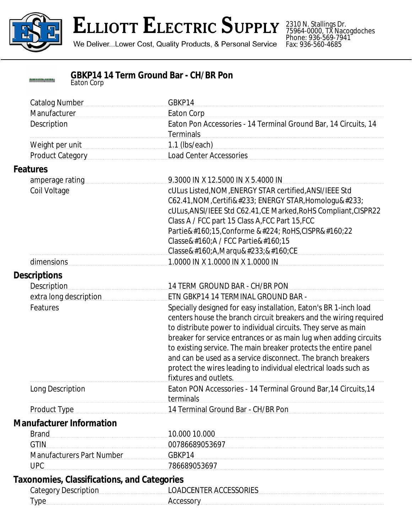

## ELLIOTT ELECTRIC SUPPLY

We Deliver...Lower Cost, Quality Products, & Personal Service

2310 N. Stallings Dr. 75964-0000, TX Nacogdoches Phone: 936-569-7941 Fax: 936-560-4685

| 883888889888888 | <b>GBKP14 14 Term Ground Bar - CH/BR Pon</b> |
|-----------------|----------------------------------------------|
|                 | Eaton Corp                                   |

| <b>Catalog Number</b><br>Manufacturer<br>Description | GBKP14<br><b>Eaton Corp</b><br>Eaton Pon Accessories - 14 Terminal Ground Bar, 14 Circuits, 14                                        |
|------------------------------------------------------|---------------------------------------------------------------------------------------------------------------------------------------|
|                                                      | <b>Terminals</b>                                                                                                                      |
| Weight per unit                                      | $1.1$ (lbs/each)                                                                                                                      |
| Product Category                                     | <b>Load Center Accessories</b>                                                                                                        |
| <b>Features</b>                                      |                                                                                                                                       |
| amperage rating                                      | 9.3000 IN X 12.5000 IN X 5.4000 IN                                                                                                    |
| Coil Voltage                                         | cULus Listed, NOM, ENERGY STAR certified, ANSI/IEEE Std                                                                               |
|                                                      | C62.41, NOM, Certifié ENERGY STAR, Homologué                                                                                          |
|                                                      | cULus, ANSI/IEEE Std C62.41, CE Marked, RoHS Compliant, CISPR22                                                                       |
|                                                      | Class A / FCC part 15 Class A, FCC Part 15, FCC                                                                                       |
|                                                      | Partie 15, Conforme à RoHS, CISPR 22                                                                                                  |
|                                                      | Classe A / FCC Partie 15                                                                                                              |
|                                                      | Classe A,Marqué CE                                                                                                                    |
| dimensions                                           | 1.0000 IN X 1.0000 IN X 1.0000 IN                                                                                                     |
| <b>Descriptions</b>                                  |                                                                                                                                       |
| <b>Description</b>                                   | 14 TERM GROUND BAR - CH/BR PON                                                                                                        |
| extra long description                               | ETN GBKP14 14 TERMINAL GROUND BAR -                                                                                                   |
| Features                                             | Specially designed for easy installation, Eaton's BR 1-inch load<br>centers house the branch circuit breakers and the wiring required |
|                                                      | to distribute power to individual circuits. They serve as main                                                                        |
|                                                      | breaker for service entrances or as main lug when adding circuits                                                                     |
|                                                      | to existing service. The main breaker protects the entire panel                                                                       |
|                                                      | and can be used as a service disconnect. The branch breakers                                                                          |
|                                                      | protect the wires leading to individual electrical loads such as                                                                      |
|                                                      | fixtures and outlets.                                                                                                                 |
| Long Description                                     | Eaton PON Accessories - 14 Terminal Ground Bar, 14 Circuits, 14<br>terminals                                                          |
| <b>Product Type</b>                                  | 14 Terminal Ground Bar - CH/BR Pon                                                                                                    |
| <b>Manufacturer Information</b>                      |                                                                                                                                       |
| <b>Brand</b>                                         | 10.000 10.000                                                                                                                         |
| <b>GTIN</b>                                          | 00786689053697                                                                                                                        |
| <b>Manufacturers Part Number</b>                     | GBKP14                                                                                                                                |
| <b>UPC</b>                                           | 786689053697                                                                                                                          |
| <b>Taxonomies, Classifications, and Categories</b>   |                                                                                                                                       |
| <b>Category Description</b>                          | <b>LOADCENTER ACCESSORIES</b>                                                                                                         |
| <b>Type</b>                                          | Accessory                                                                                                                             |
|                                                      |                                                                                                                                       |